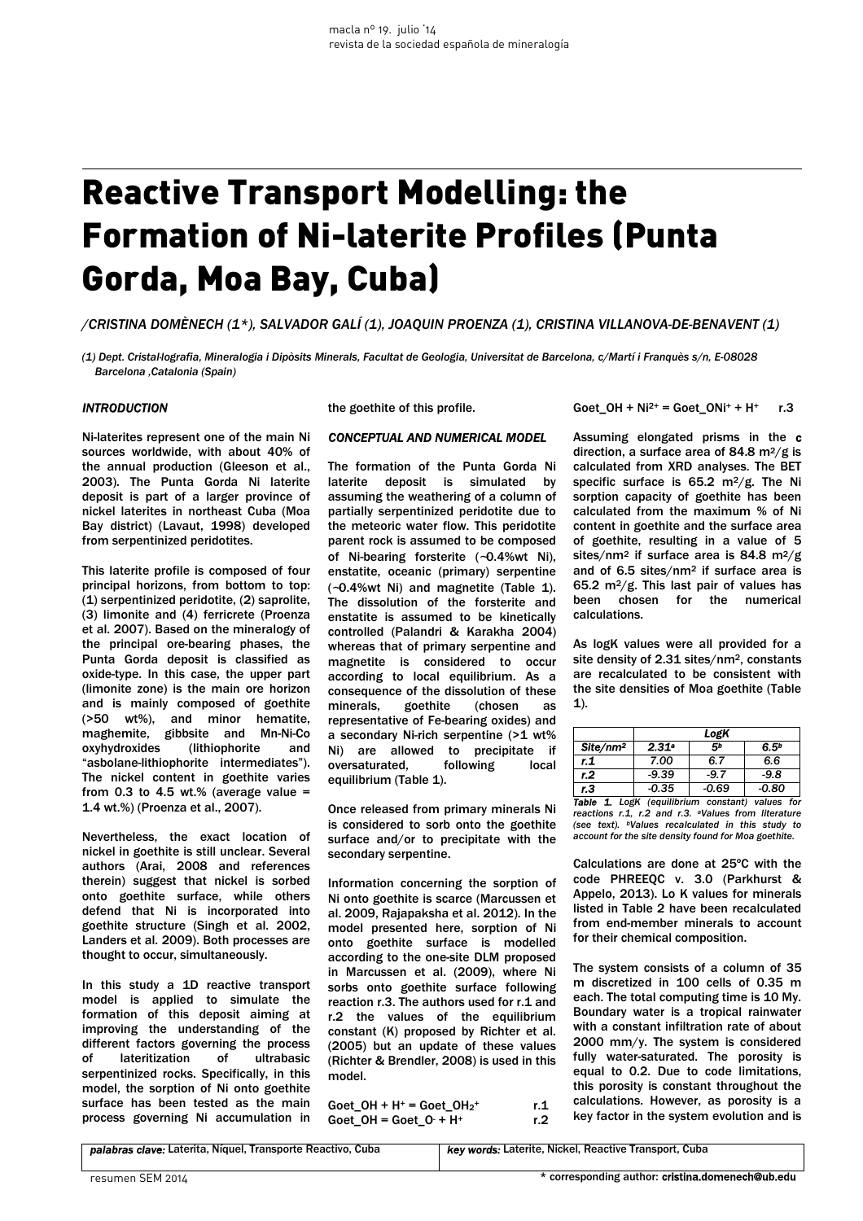# Reactive Transport Modelling: the Formation of Ni-laterite Profiles (Punta Gorda, Moa Bay, Cuba)

*/CRISTINA DOMÈNECH (1\*), SALVADOR GALÍ (1), JOAQUIN PROENZA (1), CRISTINA VILLANOVA-DE-BENAVENT (1)*

*(1) Dept. Cristal·lografia, Mineralogia i Dipòsits Minerals, Facultat de Geologia, Universitat de Barcelona, c/Martí i Franquès s/n, E-08028 Barcelona ,Catalonia (Spain)* 

### *INTRODUCTION*

Ni-laterites represent one of the main Ni sources worldwide, with about 40% of the annual production (Gleeson et al., 2003). The Punta Gorda Ni laterite deposit is part of a larger province of nickel laterites in northeast Cuba (Moa Bay district) (Lavaut, 1998) developed from serpentinized peridotites.

This laterite profile is composed of four principal horizons, from bottom to top: (1) serpentinized peridotite, (2) saprolite, (3) limonite and (4) ferricrete (Proenza et al. 2007). Based on the mineralogy of the principal ore-bearing phases, the Punta Gorda deposit is classified as oxide-type. In this case, the upper part (limonite zone) is the main ore horizon and is mainly composed of goethite (>50 wt%), and minor hematite, maghemite, gibbsite and Mn-Ni-Co oxyhydroxides (lithiophorite and "asbolane-lithiophorite intermediates"). The nickel content in goethite varies from 0.3 to 4.5 wt.% (average value  $=$ 1.4 wt.%) (Proenza et al., 2007).

Nevertheless, the exact location of nickel in goethite is still unclear. Several authors (Arai, 2008 and references therein) suggest that nickel is sorbed onto goethite surface, while others defend that Ni is incorporated into goethite structure (Singh et al. 2002, Landers et al. 2009). Both processes are thought to occur, simultaneously.

In this study a 1D reactive transport model is applied to simulate the formation of this deposit aiming at improving the understanding of the different factors governing the process of lateritization of ultrabasic serpentinized rocks. Specifically, in this model, the sorption of Ni onto goethite surface has been tested as the main process governing Ni accumulation in

the goethite of this profile.

## *CONCEPTUAL AND NUMERICAL MODEL*

The formation of the Punta Gorda Ni laterite deposit is simulated by assuming the weathering of a column of partially serpentinized peridotite due to the meteoric water flow. This peridotite parent rock is assumed to be composed of Ni-bearing forsterite (∼0.4%wt Ni), enstatite, oceanic (primary) serpentine (∼0.4%wt Ni) and magnetite (Table 1). The dissolution of the forsterite and enstatite is assumed to be kinetically controlled (Palandri & Karakha 2004) whereas that of primary serpentine and magnetite is considered to occur according to local equilibrium. As a consequence of the dissolution of these minerals, goethite (chosen as representative of Fe-bearing oxides) and a secondary Ni-rich serpentine (>1 wt% Ni) are allowed to precipitate if oversaturated, following local equilibrium (Table 1).

Once released from primary minerals Ni is considered to sorb onto the goethite surface and/or to precipitate with the secondary serpentine.

Information concerning the sorption of Ni onto goethite is scarce (Marcussen et al. 2009, Rajapaksha et al. 2012). In the model presented here, sorption of Ni onto goethite surface is modelled according to the one-site DLM proposed in Marcussen et al. (2009), where Ni sorbs onto goethite surface following reaction r.3. The authors used for r.1 and r.2 the values of the equilibrium constant (K) proposed by Richter et al. (2005) but an update of these values (Richter & Brendler, 2008) is used in this model.

Goet\_OH +  $H^+$  = Goet\_OH<sub>2</sub><sup>+</sup>  $r.1$ <br> $r.2$  $Goet_OH = Goet_O + H^+$  r.2 Goet  $OH + Ni^{2+} = Goet$   $ONi^+ + H^+$  r.3

Assuming elongated prisms in the c direction, a surface area of 84.8  $\text{m}^2/\text{g}$  is calculated from XRD analyses. The BET specific surface is  $65.2 \text{ m}^2/\text{g}$ . The Ni sorption capacity of goethite has been calculated from the maximum % of Ni content in goethite and the surface area of goethite, resulting in a value of 5 sites/nm<sup>2</sup> if surface area is 84.8 m<sup>2</sup>/g and of 6.5 sites/nm2 if surface area is 65.2 m<sup>2</sup>/g. This last pair of values has been chosen for the numerical calculations.

As logK values were all provided for a site density of 2.31 sites/nm<sup>2</sup>, constants are recalculated to be consistent with the site densities of Moa goethite (Table 1).

|                      | LogK              |                             |                  |
|----------------------|-------------------|-----------------------------|------------------|
| Site/nm <sup>2</sup> | 2.31 <sup>a</sup> | 5þ                          | 6.5 <sup>b</sup> |
| r.1                  | 7.00              | 6.7                         | 6.6              |
| r.2                  | $-9.39$           | $-9.7$                      | $-9.8$           |
| r.3                  | $-0.35$           | $-0.69$                     | $-0.80$          |
| Table 1.             |                   | LogK (equilibrium constant) | values for       |

*reactions r.1, r.2 and r.3. aValues from literature (see text). bValues recalculated in this study to account for the site density found for Moa goethite.* 

Calculations are done at 25ºC with the code PHREEQC v. 3.0 (Parkhurst & Appelo, 2013). Lo K values for minerals listed in Table 2 have been recalculated from end-member minerals to account for their chemical composition.

The system consists of a column of 35 m discretized in 100 cells of 0.35 m each. The total computing time is 10 My. Boundary water is a tropical rainwater with a constant infiltration rate of about 2000 mm/y. The system is considered fully water-saturated. The porosity is equal to 0.2. Due to code limitations, this porosity is constant throughout the calculations. However, as porosity is a key factor in the system evolution and is

*palabras clave:* Laterita, Níquel, Transporte Reactivo, Cuba *key words:* Laterite, Nickel, Reactive Transport, Cuba